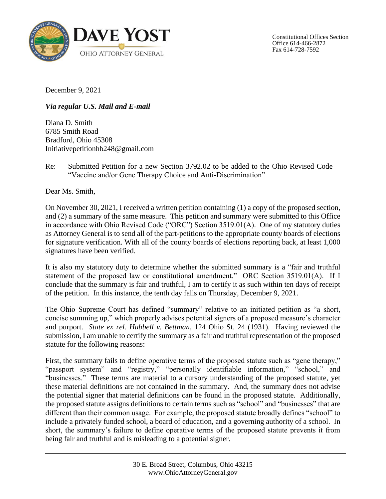

Constitutional Offices Section Office 614-466-2872 Fax 614-728-7592

December 9, 2021

*Via regular U.S. Mail and E-mail*

Diana D. Smith 6785 Smith Road Bradford, Ohio 45308 Initiativepetitionhb248@gmail.com

Re: Submitted Petition for a new Section 3792.02 to be added to the Ohio Revised Code— "Vaccine and/or Gene Therapy Choice and Anti-Discrimination"

Dear Ms. Smith,

On November 30, 2021, I received a written petition containing (1) a copy of the proposed section, and (2) a summary of the same measure. This petition and summary were submitted to this Office in accordance with Ohio Revised Code ("ORC") Section 3519.01(A). One of my statutory duties as Attorney General is to send all of the part-petitions to the appropriate county boards of elections for signature verification. With all of the county boards of elections reporting back, at least 1,000 signatures have been verified.

It is also my statutory duty to determine whether the submitted summary is a "fair and truthful statement of the proposed law or constitutional amendment." ORC Section 3519.01(A). If I conclude that the summary is fair and truthful, I am to certify it as such within ten days of receipt of the petition. In this instance, the tenth day falls on Thursday, December 9, 2021.

The Ohio Supreme Court has defined "summary" relative to an initiated petition as "a short, concise summing up," which properly advises potential signers of a proposed measure's character and purport. *State ex rel. Hubbell v. Bettman*, 124 Ohio St. 24 (1931). Having reviewed the submission, I am unable to certify the summary as a fair and truthful representation of the proposed statute for the following reasons:

First, the summary fails to define operative terms of the proposed statute such as "gene therapy," "passport system" and "registry," "personally identifiable information," "school," and "businesses." These terms are material to a cursory understanding of the proposed statute, yet these material definitions are not contained in the summary. And, the summary does not advise the potential signer that material definitions can be found in the proposed statute. Additionally, the proposed statute assigns definitions to certain terms such as "school" and "businesses" that are different than their common usage. For example, the proposed statute broadly defines "school" to include a privately funded school, a board of education, and a governing authority of a school. In short, the summary's failure to define operative terms of the proposed statute prevents it from being fair and truthful and is misleading to a potential signer.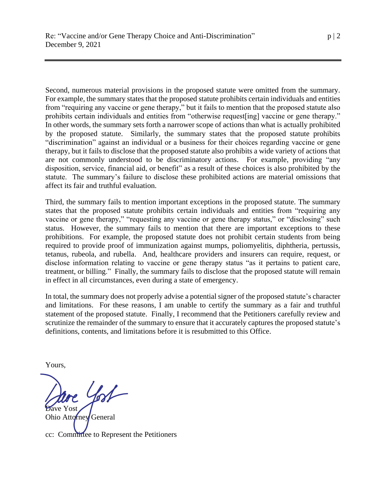Second, numerous material provisions in the proposed statute were omitted from the summary. For example, the summary states that the proposed statute prohibits certain individuals and entities from "requiring any vaccine or gene therapy," but it fails to mention that the proposed statute also prohibits certain individuals and entities from "otherwise request[ing] vaccine or gene therapy." In other words, the summary sets forth a narrower scope of actions than what is actually prohibited by the proposed statute. Similarly, the summary states that the proposed statute prohibits "discrimination" against an individual or a business for their choices regarding vaccine or gene therapy, but it fails to disclose that the proposed statute also prohibits a wide variety of actions that are not commonly understood to be discriminatory actions. For example, providing "any disposition, service, financial aid, or benefit" as a result of these choices is also prohibited by the statute. The summary's failure to disclose these prohibited actions are material omissions that affect its fair and truthful evaluation.

Third, the summary fails to mention important exceptions in the proposed statute. The summary states that the proposed statute prohibits certain individuals and entities from "requiring any vaccine or gene therapy," "requesting any vaccine or gene therapy status," or "disclosing" such status. However, the summary fails to mention that there are important exceptions to these prohibitions. For example, the proposed statute does not prohibit certain students from being required to provide proof of immunization against mumps, poliomyelitis, diphtheria, pertussis, tetanus, rubeola, and rubella. And, healthcare providers and insurers can require, request, or disclose information relating to vaccine or gene therapy status "as it pertains to patient care, treatment, or billing." Finally, the summary fails to disclose that the proposed statute will remain in effect in all circumstances, even during a state of emergency.

In total, the summary does not properly advise a potential signer of the proposed statute's character and limitations. For these reasons, I am unable to certify the summary as a fair and truthful statement of the proposed statute. Finally, I recommend that the Petitioners carefully review and scrutinize the remainder of the summary to ensure that it accurately captures the proposed statute's definitions, contents, and limitations before it is resubmitted to this Office.

Yours,

Dave Yost

Ohio Attorney General cc: Committee to Represent the Petitioners